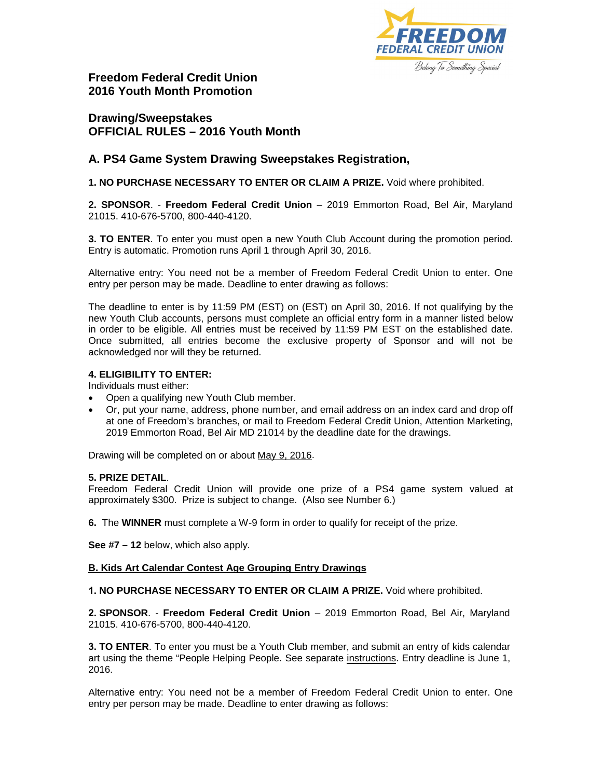

**Freedom Federal Credit Union 2016 Youth Month Promotion**

# **Drawing/Sweepstakes OFFICIAL RULES – 2016 Youth Month**

## **A. PS4 Game System Drawing Sweepstakes Registration,**

**1. NO PURCHASE NECESSARY TO ENTER OR CLAIM A PRIZE.** Void where prohibited.

**2. SPONSOR**. - **Freedom Federal Credit Union** – 2019 Emmorton Road, Bel Air, Maryland 21015. 410-676-5700, 800-440-4120.

**3. TO ENTER**. To enter you must open a new Youth Club Account during the promotion period. Entry is automatic. Promotion runs April 1 through April 30, 2016.

Alternative entry: You need not be a member of Freedom Federal Credit Union to enter. One entry per person may be made. Deadline to enter drawing as follows:

The deadline to enter is by 11:59 PM (EST) on (EST) on April 30, 2016. If not qualifying by the new Youth Club accounts, persons must complete an official entry form in a manner listed below in order to be eligible. All entries must be received by 11:59 PM EST on the established date. Once submitted, all entries become the exclusive property of Sponsor and will not be acknowledged nor will they be returned.

### **4. ELIGIBILITY TO ENTER:**

Individuals must either:

- Open a qualifying new Youth Club member.
- Or, put your name, address, phone number, and email address on an index card and drop off at one of Freedom's branches, or mail to Freedom Federal Credit Union, Attention Marketing, 2019 Emmorton Road, Bel Air MD 21014 by the deadline date for the drawings.

Drawing will be completed on or about May 9, 2016.

#### **5. PRIZE DETAIL**.

Freedom Federal Credit Union will provide one prize of a PS4 game system valued at approximately \$300. Prize is subject to change. (Also see Number 6.)

**6.** The **WINNER** must complete a W-9 form in order to qualify for receipt of the prize.

**See #7 – 12** below, which also apply.

### **B. Kids Art Calendar Contest Age Grouping Entry Drawings**

**1. NO PURCHASE NECESSARY TO ENTER OR CLAIM A PRIZE.** Void where prohibited.

**2. SPONSOR**. - **Freedom Federal Credit Union** – 2019 Emmorton Road, Bel Air, Maryland 21015. 410-676-5700, 800-440-4120.

**3. TO ENTER**. To enter you must be a Youth Club member, and submit an entry of kids calendar art using the theme "People Helping People. See separate [instructions.](https://www.freedomfcu.org/kidsartcontestinstructions/) Entry deadline is June 1, 2016.

Alternative entry: You need not be a member of Freedom Federal Credit Union to enter. One entry per person may be made. Deadline to enter drawing as follows: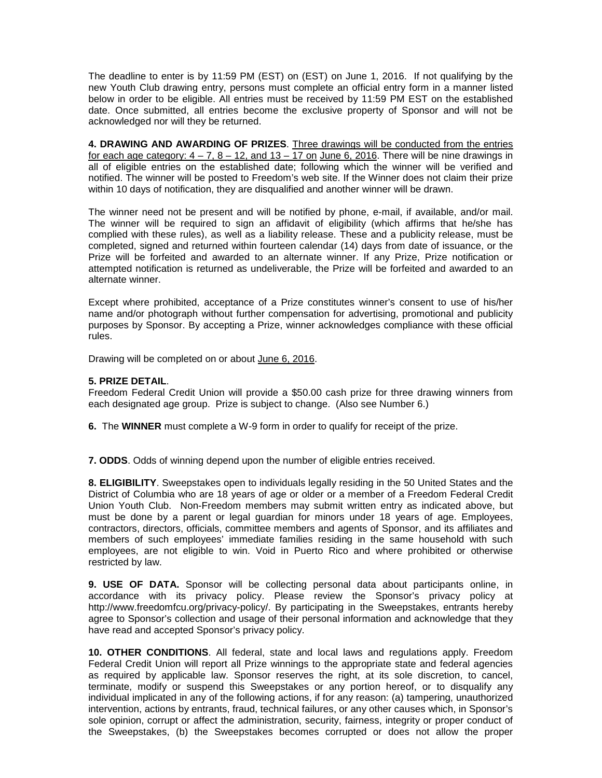The deadline to enter is by 11:59 PM (EST) on (EST) on June 1, 2016. If not qualifying by the new Youth Club drawing entry, persons must complete an official entry form in a manner listed below in order to be eligible. All entries must be received by 11:59 PM EST on the established date. Once submitted, all entries become the exclusive property of Sponsor and will not be acknowledged nor will they be returned.

**4. DRAWING AND AWARDING OF PRIZES**. Three drawings will be conducted from the entries for each age category:  $4 - 7$ ,  $8 - 12$ , and  $13 - 17$  on June 6, 2016. There will be nine drawings in all of eligible entries on the established date; following which the winner will be verified and notified. The winner will be posted to Freedom's web site. If the Winner does not claim their prize within 10 days of notification, they are disqualified and another winner will be drawn.

The winner need not be present and will be notified by phone, e-mail, if available, and/or mail. The winner will be required to sign an affidavit of eligibility (which affirms that he/she has complied with these rules), as well as a liability release. These and a publicity release, must be completed, signed and returned within fourteen calendar (14) days from date of issuance, or the Prize will be forfeited and awarded to an alternate winner. If any Prize, Prize notification or attempted notification is returned as undeliverable, the Prize will be forfeited and awarded to an alternate winner.

Except where prohibited, acceptance of a Prize constitutes winner's consent to use of his/her name and/or photograph without further compensation for advertising, promotional and publicity purposes by Sponsor. By accepting a Prize, winner acknowledges compliance with these official rules.

Drawing will be completed on or about June 6, 2016.

#### **5. PRIZE DETAIL**.

Freedom Federal Credit Union will provide a \$50.00 cash prize for three drawing winners from each designated age group. Prize is subject to change. (Also see Number 6.)

**6.** The **WINNER** must complete a W-9 form in order to qualify for receipt of the prize.

**7. ODDS**. Odds of winning depend upon the number of eligible entries received.

**8. ELIGIBILITY**. Sweepstakes open to individuals legally residing in the 50 United States and the District of Columbia who are 18 years of age or older or a member of a Freedom Federal Credit Union Youth Club. Non-Freedom members may submit written entry as indicated above, but must be done by a parent or legal guardian for minors under 18 years of age. Employees, contractors, directors, officials, committee members and agents of Sponsor, and its affiliates and members of such employees' immediate families residing in the same household with such employees, are not eligible to win. Void in Puerto Rico and where prohibited or otherwise restricted by law.

**9. USE OF DATA.** Sponsor will be collecting personal data about participants online, in accordance with its privacy policy. Please review the Sponsor's privacy policy at http://www.freedomfcu.org/privacy-policy/. By participating in the Sweepstakes, entrants hereby agree to Sponsor's collection and usage of their personal information and acknowledge that they have read and accepted Sponsor's privacy policy.

**10. OTHER CONDITIONS**. All federal, state and local laws and regulations apply. Freedom Federal Credit Union will report all Prize winnings to the appropriate state and federal agencies as required by applicable law. Sponsor reserves the right, at its sole discretion, to cancel, terminate, modify or suspend this Sweepstakes or any portion hereof, or to disqualify any individual implicated in any of the following actions, if for any reason: (a) tampering, unauthorized intervention, actions by entrants, fraud, technical failures, or any other causes which, in Sponsor's sole opinion, corrupt or affect the administration, security, fairness, integrity or proper conduct of the Sweepstakes, (b) the Sweepstakes becomes corrupted or does not allow the proper